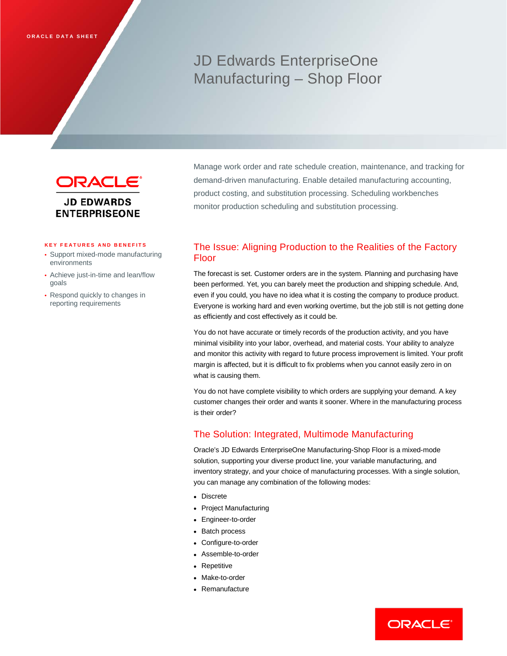# JD Edwards EnterpriseOne Manufacturing – Shop Floor



Manage work order and rate schedule creation, maintenance, and tracking for demand-driven manufacturing. Enable detailed manufacturing accounting, product costing, and substitution processing. Scheduling workbenches monitor production scheduling and substitution processing.

#### **KEY FEATURES AND BENEFITS**

- Support mixed-mode manufacturing environments
- Achieve just-in-time and lean/flow goals
- Respond quickly to changes in reporting requirements

# The Issue: Aligning Production to the Realities of the Factory Floor

The forecast is set. Customer orders are in the system. Planning and purchasing have been performed. Yet, you can barely meet the production and shipping schedule. And, even if you could, you have no idea what it is costing the company to produce product. Everyone is working hard and even working overtime, but the job still is not getting done as efficiently and cost effectively as it could be.

You do not have accurate or timely records of the production activity, and you have minimal visibility into your labor, overhead, and material costs. Your ability to analyze and monitor this activity with regard to future process improvement is limited. Your profit margin is affected, but it is difficult to fix problems when you cannot easily zero in on what is causing them.

You do not have complete visibility to which orders are supplying your demand. A key customer changes their order and wants it sooner. Where in the manufacturing process is their order?

### The Solution: Integrated, Multimode Manufacturing

Oracle's JD Edwards EnterpriseOne Manufacturing-Shop Floor is a mixed-mode solution, supporting your diverse product line, your variable manufacturing, and inventory strategy, and your choice of manufacturing processes. With a single solution, you can manage any combination of the following modes:

- Discrete
- Project Manufacturing
- Engineer-to-order
- Batch process
- Configure-to-order
- Assemble-to-order
- Repetitive
- Make-to-order
- Remanufacture

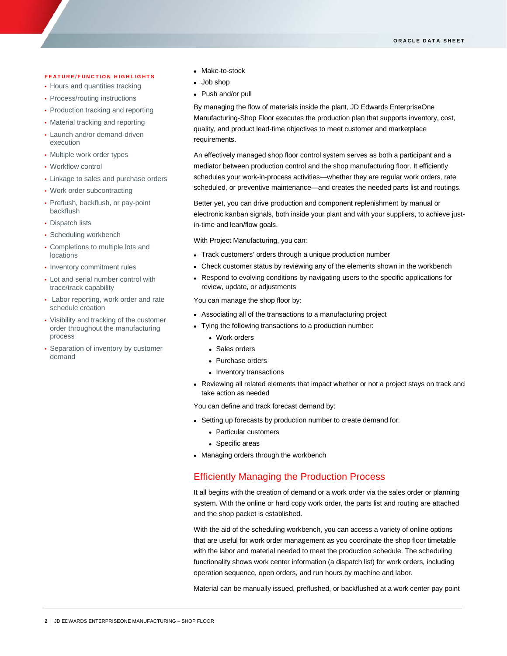#### **FEATURE/FUNCTION HIGHLIGHTS**

- Hours and quantities tracking
- Process/routing instructions
- Production tracking and reporting
- Material tracking and reporting
- Launch and/or demand-driven execution
- Multiple work order types
- Workflow control

ī

- Linkage to sales and purchase orders
- Work order subcontracting
- Preflush, backflush, or pay-point backflush
- Dispatch lists
- Scheduling workbench
- Completions to multiple lots and locations
- Inventory commitment rules
- Lot and serial number control with trace/track capability
- Labor reporting, work order and rate schedule creation
- Visibility and tracking of the customer order throughout the manufacturing process
- Separation of inventory by customer demand
- Make-to-stock
- Job shop
- Push and/or pull

By managing the flow of materials inside the plant, JD Edwards EnterpriseOne Manufacturing-Shop Floor executes the production plan that supports inventory, cost, quality, and product lead-time objectives to meet customer and marketplace requirements.

An effectively managed shop floor control system serves as both a participant and a mediator between production control and the shop manufacturing floor. It efficiently schedules your work-in-process activities—whether they are regular work orders, rate scheduled, or preventive maintenance—and creates the needed parts list and routings.

Better yet, you can drive production and component replenishment by manual or electronic kanban signals, both inside your plant and with your suppliers, to achieve justin-time and lean/flow goals.

With Project Manufacturing, you can:

- Track customers' orders through a unique production number
- Check customer status by reviewing any of the elements shown in the workbench
- Respond to evolving conditions by navigating users to the specific applications for review, update, or adjustments

You can manage the shop floor by:

- Associating all of the transactions to a manufacturing project
- Tying the following transactions to a production number:
	- Work orders
	- Sales orders
	- Purchase orders
	- Inventory transactions
- Reviewing all related elements that impact whether or not a project stays on track and take action as needed

You can define and track forecast demand by:

- Setting up forecasts by production number to create demand for:
	- Particular customers
	- Specific areas
- Managing orders through the workbench

#### Efficiently Managing the Production Process

It all begins with the creation of demand or a work order via the sales order or planning system. With the online or hard copy work order, the parts list and routing are attached and the shop packet is established.

With the aid of the scheduling workbench, you can access a variety of online options that are useful for work order management as you coordinate the shop floor timetable with the labor and material needed to meet the production schedule. The scheduling functionality shows work center information (a dispatch list) for work orders, including operation sequence, open orders, and run hours by machine and labor.

Material can be manually issued, preflushed, or backflushed at a work center pay point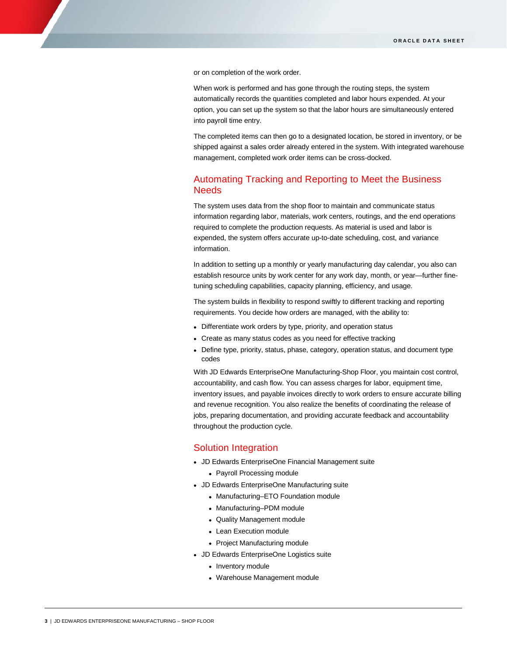or on completion of the work order.

When work is performed and has gone through the routing steps, the system automatically records the quantities completed and labor hours expended. At your option, you can set up the system so that the labor hours are simultaneously entered into payroll time entry.

The completed items can then go to a designated location, be stored in inventory, or be shipped against a sales order already entered in the system. With integrated warehouse management, completed work order items can be cross-docked.

## Automating Tracking and Reporting to Meet the Business Needs

The system uses data from the shop floor to maintain and communicate status information regarding labor, materials, work centers, routings, and the end operations required to complete the production requests. As material is used and labor is expended, the system offers accurate up-to-date scheduling, cost, and variance information.

In addition to setting up a monthly or yearly manufacturing day calendar, you also can establish resource units by work center for any work day, month, or year—further finetuning scheduling capabilities, capacity planning, efficiency, and usage.

The system builds in flexibility to respond swiftly to different tracking and reporting requirements. You decide how orders are managed, with the ability to:

- Differentiate work orders by type, priority, and operation status
- Create as many status codes as you need for effective tracking
- Define type, priority, status, phase, category, operation status, and document type codes

With JD Edwards EnterpriseOne Manufacturing-Shop Floor, you maintain cost control, accountability, and cash flow. You can assess charges for labor, equipment time, inventory issues, and payable invoices directly to work orders to ensure accurate billing and revenue recognition. You also realize the benefits of coordinating the release of jobs, preparing documentation, and providing accurate feedback and accountability throughout the production cycle.

#### Solution Integration

- JD Edwards EnterpriseOne Financial Management suite
	- Payroll Processing module
- JD Edwards EnterpriseOne Manufacturing suite
	- Manufacturing–ETO Foundation module
	- Manufacturing–PDM module
	- Quality Management module
	- Lean Execution module
	- Project Manufacturing module
- JD Edwards EnterpriseOne Logistics suite
	- Inventory module
	- Warehouse Management module

ī